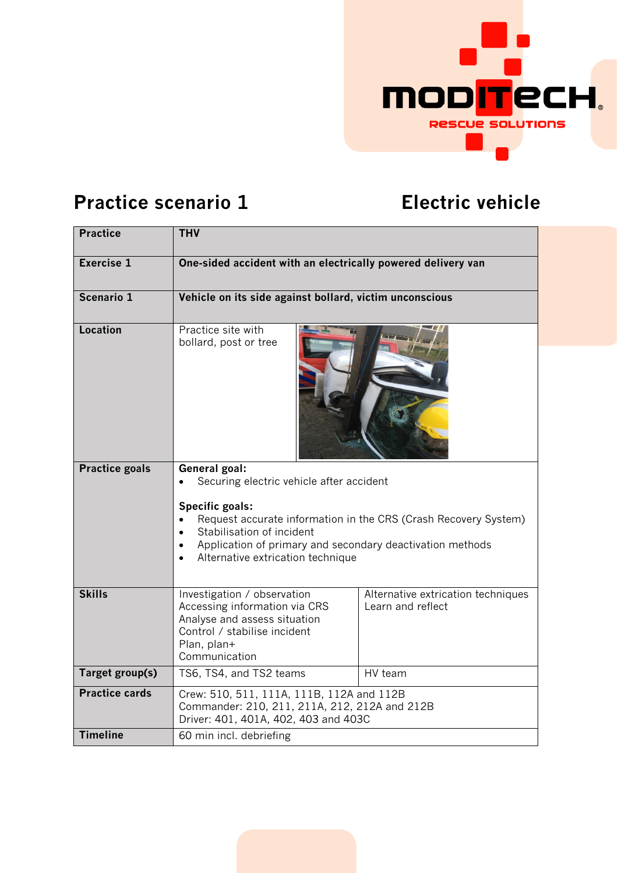

## **Practice scenario 1 Electric vehicle**

| <b>Practice</b>       | <b>THV</b>                                                                                                                                                                                                                                                                     |                                                         |  |
|-----------------------|--------------------------------------------------------------------------------------------------------------------------------------------------------------------------------------------------------------------------------------------------------------------------------|---------------------------------------------------------|--|
| <b>Exercise 1</b>     | One-sided accident with an electrically powered delivery van                                                                                                                                                                                                                   |                                                         |  |
| Scenario 1            | Vehicle on its side against bollard, victim unconscious                                                                                                                                                                                                                        |                                                         |  |
| <b>Location</b>       | Practice site with<br>bollard, post or tree                                                                                                                                                                                                                                    |                                                         |  |
| <b>Practice goals</b> | General goal:<br>Securing electric vehicle after accident<br>Specific goals:<br>Request accurate information in the CRS (Crash Recovery System)<br>Stabilisation of incident<br>Application of primary and secondary deactivation methods<br>Alternative extrication technique |                                                         |  |
| <b>Skills</b>         | Investigation / observation<br>Accessing information via CRS<br>Analyse and assess situation<br>Control / stabilise incident<br>Plan, plan+<br>Communication                                                                                                                   | Alternative extrication techniques<br>Learn and reflect |  |
| Target group(s)       | TS6, TS4, and TS2 teams                                                                                                                                                                                                                                                        | HV team                                                 |  |
| <b>Practice cards</b> | Crew: 510, 511, 111A, 111B, 112A and 112B<br>Commander: 210, 211, 211A, 212, 212A and 212B<br>Driver: 401, 401A, 402, 403 and 403C                                                                                                                                             |                                                         |  |
| <b>Timeline</b>       | 60 min incl. debriefing                                                                                                                                                                                                                                                        |                                                         |  |